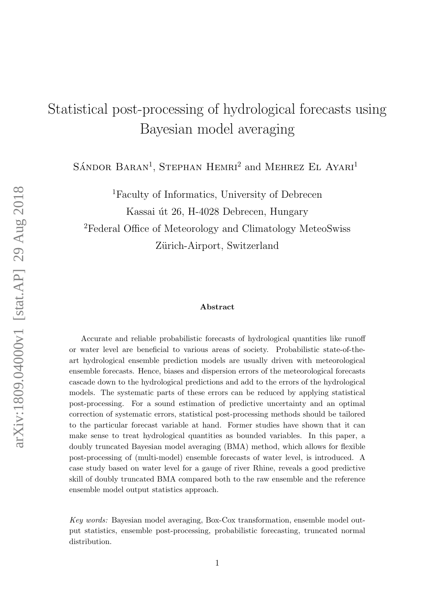# Statistical post-processing of hydrological forecasts using Bayesian model averaging

SÁNDOR BARAN<sup>1</sup>, STEPHAN HEMRI<sup>2</sup> and MEHREZ EL AYARI<sup>1</sup>

<sup>1</sup>Faculty of Informatics, University of Debrecen

Kassai út 26, H-4028 Debrecen, Hungary

<sup>2</sup>Federal Office of Meteorology and Climatology MeteoSwiss Zürich-Airport, Switzerland

#### Abstract

Accurate and reliable probabilistic forecasts of hydrological quantities like runoff or water level are beneficial to various areas of society. Probabilistic state-of-theart hydrological ensemble prediction models are usually driven with meteorological ensemble forecasts. Hence, biases and dispersion errors of the meteorological forecasts cascade down to the hydrological predictions and add to the errors of the hydrological models. The systematic parts of these errors can be reduced by applying statistical post-processing. For a sound estimation of predictive uncertainty and an optimal correction of systematic errors, statistical post-processing methods should be tailored to the particular forecast variable at hand. Former studies have shown that it can make sense to treat hydrological quantities as bounded variables. In this paper, a doubly truncated Bayesian model averaging (BMA) method, which allows for flexible post-processing of (multi-model) ensemble forecasts of water level, is introduced. A case study based on water level for a gauge of river Rhine, reveals a good predictive skill of doubly truncated BMA compared both to the raw ensemble and the reference ensemble model output statistics approach.

Key words: Bayesian model averaging, Box-Cox transformation, ensemble model output statistics, ensemble post-processing, probabilistic forecasting, truncated normal distribution.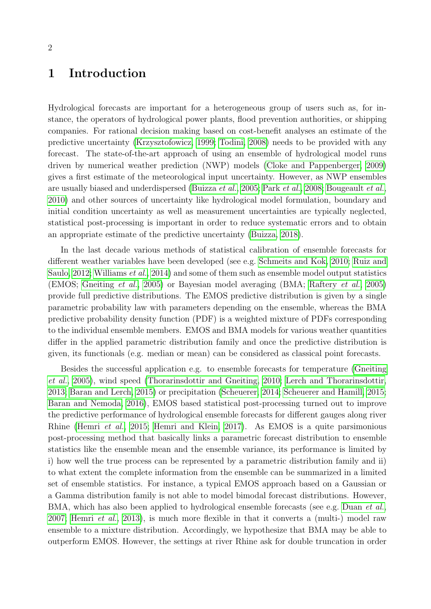# 1 Introduction

Hydrological forecasts are important for a heterogeneous group of users such as, for instance, the operators of hydrological power plants, flood prevention authorities, or shipping companies. For rational decision making based on cost-benefit analyses an estimate of the predictive uncertainty [\(Krzysztofowicz, 1999;](#page-17-0) [Todini, 2008\)](#page-18-0) needs to be provided with any forecast. The state-of-the-art approach of using an ensemble of hydrological model runs driven by numerical weather prediction (NWP) models [\(Cloke and Pappenberger, 2009\)](#page-15-0) gives a first estimate of the meteorological input uncertainty. However, as NWP ensembles are usually biased and underdispersed [\(Buizza](#page-15-1) et al., [2005;](#page-15-1) Park [et al.](#page-17-1), [2008;](#page-17-1) [Bougeault](#page-15-2) et al., [2010\)](#page-15-2) and other sources of uncertainty like hydrological model formulation, boundary and initial condition uncertainty as well as measurement uncertainties are typically neglected, statistical post-processing is important in order to reduce systematic errors and to obtain an appropriate estimate of the predictive uncertainty [\(Buizza, 2018\)](#page-15-3).

In the last decade various methods of statistical calibration of ensemble forecasts for different weather variables have been developed (see e.g. [Schmeits and Kok, 2010;](#page-18-1) [Ruiz and](#page-17-2) [Saulo, 2012;](#page-17-2) [Williams](#page-18-2) et al., [2014\)](#page-18-2) and some of them such as ensemble model output statistics (EMOS; [Gneiting](#page-16-0) et al., [2005\)](#page-16-0) or Bayesian model averaging (BMA; [Raftery](#page-17-3) et al., [2005\)](#page-17-3) provide full predictive distributions. The EMOS predictive distribution is given by a single parametric probability law with parameters depending on the ensemble, whereas the BMA predictive probability density function (PDF) is a weighted mixture of PDFs corresponding to the individual ensemble members. EMOS and BMA models for various weather quantities differ in the applied parametric distribution family and once the predictive distribution is given, its functionals (e.g. median or mean) can be considered as classical point forecasts.

Besides the successful application e.g. to ensemble forecasts for temperature [\(Gneiting](#page-16-0) [et al.](#page-16-0), [2005\)](#page-16-0), wind speed [\(Thorarinsdottir and Gneiting, 2010;](#page-18-3) [Lerch and Thorarinsdottir,](#page-17-4) [2013;](#page-17-4) [Baran and Lerch, 2015\)](#page-15-4) or precipitation [\(Scheuerer, 2014;](#page-17-5) [Scheuerer and Hamill, 2015;](#page-18-4) [Baran and Nemoda, 2016\)](#page-15-5), EMOS based statistical post-processing turned out to improve the predictive performance of hydrological ensemble forecasts for different gauges along river Rhine [\(Hemri](#page-16-1) et al., [2015;](#page-16-1) [Hemri and Klein, 2017\)](#page-16-2). As EMOS is a quite parsimonious post-processing method that basically links a parametric forecast distribution to ensemble statistics like the ensemble mean and the ensemble variance, its performance is limited by i) how well the true process can be represented by a parametric distribution family and ii) to what extent the complete information from the ensemble can be summarized in a limited set of ensemble statistics. For instance, a typical EMOS approach based on a Gaussian or a Gamma distribution family is not able to model bimodal forecast distributions. However, BMA, which has also been applied to hydrological ensemble forecasts (see e.g. [Duan](#page-16-3) *et al.*, [2007;](#page-16-3) [Hemri](#page-16-4) *et al.*, [2013\)](#page-16-4), is much more flexible in that it converts a (multi-) model raw ensemble to a mixture distribution. Accordingly, we hypothesize that BMA may be able to outperform EMOS. However, the settings at river Rhine ask for double truncation in order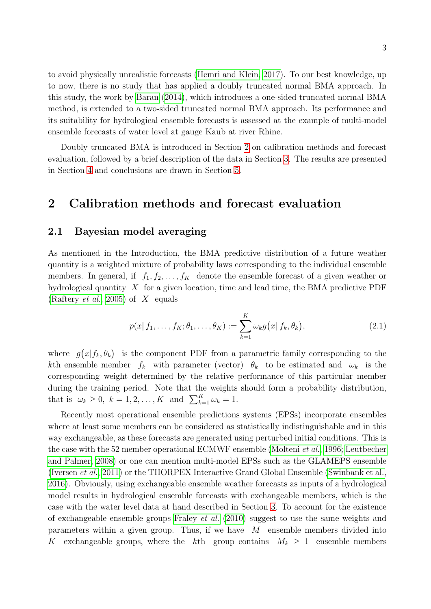to avoid physically unrealistic forecasts [\(Hemri and Klein, 2017\)](#page-16-2). To our best knowledge, up to now, there is no study that has applied a doubly truncated normal BMA approach. In this study, the work by [Baran](#page-15-6) [\(2014\)](#page-15-6), which introduces a one-sided truncated normal BMA method, is extended to a two-sided truncated normal BMA approach. Its performance and its suitability for hydrological ensemble forecasts is assessed at the example of multi-model ensemble forecasts of water level at gauge Kaub at river Rhine.

Doubly truncated BMA is introduced in Section [2](#page-2-0) on calibration methods and forecast evaluation, followed by a brief description of the data in Section [3.](#page-8-0) The results are presented in Section [4](#page-9-0) and conclusions are drawn in Section [5.](#page-12-0)

# <span id="page-2-0"></span>2 Calibration methods and forecast evaluation

#### 2.1 Bayesian model averaging

As mentioned in the Introduction, the BMA predictive distribution of a future weather quantity is a weighted mixture of probability laws corresponding to the individual ensemble members. In general, if  $f_1, f_2, \ldots, f_K$  denote the ensemble forecast of a given weather or hydrological quantity  $X$  for a given location, time and lead time, the BMA predictive PDF [\(Raftery](#page-17-3) *et al.*, [2005\)](#page-17-3) of  $X$  equals

<span id="page-2-1"></span>
$$
p(x | f_1, \dots, f_K; \theta_1, \dots, \theta_K) := \sum_{k=1}^K \omega_k g(x | f_k, \theta_k),
$$
\n(2.1)

where  $g(x|f_k, \theta_k)$  is the component PDF from a parametric family corresponding to the kth ensemble member  $f_k$  with parameter (vector)  $\theta_k$  to be estimated and  $\omega_k$  is the corresponding weight determined by the relative performance of this particular member during the training period. Note that the weights should form a probability distribution, that is  $\omega_k \geq 0$ ,  $k = 1, 2, \dots, K$  and  $\sum_{k=1}^K \omega_k = 1$ .

Recently most operational ensemble predictions systems (EPSs) incorporate ensembles where at least some members can be considered as statistically indistinguishable and in this way exchangeable, as these forecasts are generated using perturbed initial conditions. This is the case with the 52 member operational ECMWF ensemble [\(Molteni](#page-17-6) et al., [1996;](#page-17-6) [Leutbecher](#page-17-7) [and Palmer, 2008\)](#page-17-7) or one can mention multi-model EPSs such as the GLAMEPS ensemble [\(Iversen](#page-16-5) et al., [2011\)](#page-16-5) or the THORPEX Interactive Grand Global Ensemble [\(Swinbank et al.,](#page-18-5) [2016\)](#page-18-5). Obviously, using exchangeable ensemble weather forecasts as inputs of a hydrological model results in hydrological ensemble forecasts with exchangeable members, which is the case with the water level data at hand described in Section [3.](#page-8-0) To account for the existence of exchangeable ensemble groups [Fraley](#page-16-6) *et al.* [\(2010\)](#page-16-6) suggest to use the same weights and parameters within a given group. Thus, if we have  $M$  ensemble members divided into K exchangeable groups, where the kth group contains  $M_k \geq 1$  ensemble members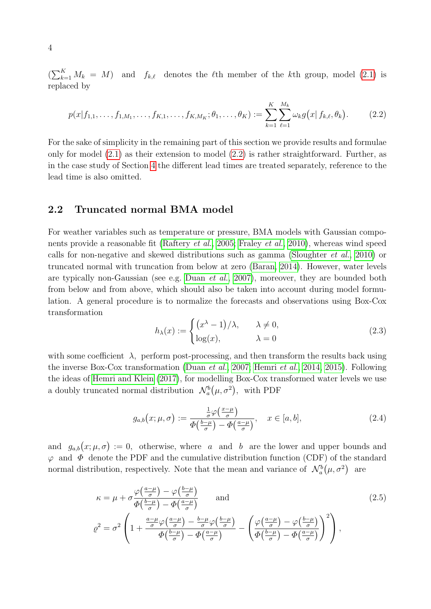$\left(\sum_{k=1}^K M_k = M\right)$  and  $f_{k,\ell}$  denotes the  $\ell$ th member of the kth group, model [\(2.1\)](#page-2-1) is replaced by

<span id="page-3-0"></span>
$$
p(x|f_{1,1},\ldots,f_{1,M_1},\ldots,f_{K,1},\ldots,f_{K,M_K};\theta_1,\ldots,\theta_K) := \sum_{k=1}^K \sum_{\ell=1}^{M_k} \omega_k g(x|f_{k,\ell},\theta_k).
$$
 (2.2)

For the sake of simplicity in the remaining part of this section we provide results and formulae only for model  $(2.1)$  as their extension to model  $(2.2)$  is rather straightforward. Further, as in the case study of Section [4](#page-9-0) the different lead times are treated separately, reference to the lead time is also omitted.

#### <span id="page-3-3"></span>2.2 Truncated normal BMA model

For weather variables such as temperature or pressure, BMA models with Gaussian compo-nents provide a reasonable fit [\(Raftery](#page-17-3) *et al.*, [2005;](#page-17-3) [Fraley](#page-16-6) *et al.*, [2010\)](#page-16-6), whereas wind speed calls for non-negative and skewed distributions such as gamma [\(Sloughter](#page-18-6) et al., [2010\)](#page-18-6) or truncated normal with truncation from below at zero [\(Baran, 2014\)](#page-15-6). However, water levels are typically non-Gaussian (see e.g. [Duan](#page-16-3) et al., [2007\)](#page-16-3), moreover, they are bounded both from below and from above, which should also be taken into account during model formulation. A general procedure is to normalize the forecasts and observations using Box-Cox transformation

$$
h_{\lambda}(x) := \begin{cases} (x^{\lambda} - 1)/\lambda, & \lambda \neq 0, \\ \log(x), & \lambda = 0 \end{cases}
$$
 (2.3)

with some coefficient  $\lambda$ , perform post-processing, and then transform the results back using the inverse Box-Cox transformation [\(Duan](#page-16-3) et al., [2007;](#page-16-3) [Hemri](#page-16-7) et al., [2014,](#page-16-7) [2015\)](#page-16-1). Following the ideas of [Hemri and Klein](#page-16-2) [\(2017\)](#page-16-2), for modelling Box-Cox transformed water levels we use a doubly truncated normal distribution  $\mathcal{N}_a^b(\mu, \sigma^2)$ , with PDF

<span id="page-3-2"></span><span id="page-3-1"></span>
$$
g_{a,b}(x;\mu,\sigma) := \frac{\frac{1}{\sigma}\varphi\left(\frac{x-\mu}{\sigma}\right)}{\Phi\left(\frac{b-\mu}{\sigma}\right) - \Phi\left(\frac{a-\mu}{\sigma}\right)}, \quad x \in [a,b],\tag{2.4}
$$

and  $g_{a,b}(x;\mu,\sigma) := 0$ , otherwise, where a and b are the lower and upper bounds and  $\varphi$  and  $\Phi$  denote the PDF and the cumulative distribution function (CDF) of the standard normal distribution, respectively. Note that the mean and variance of  $\mathcal{N}_a^b(\mu, \sigma^2)$  are

$$
\kappa = \mu + \sigma \frac{\varphi\left(\frac{a-\mu}{\sigma}\right) - \varphi\left(\frac{b-\mu}{\sigma}\right)}{\Phi\left(\frac{b-\mu}{\sigma}\right) - \Phi\left(\frac{a-\mu}{\sigma}\right)} \quad \text{and} \quad (2.5)
$$
\n
$$
\varrho^2 = \sigma^2 \left(1 + \frac{\frac{a-\mu}{\sigma}\varphi\left(\frac{a-\mu}{\sigma}\right) - \frac{b-\mu}{\sigma}\varphi\left(\frac{b-\mu}{\sigma}\right)}{\Phi\left(\frac{b-\mu}{\sigma}\right) - \Phi\left(\frac{a-\mu}{\sigma}\right)} - \left(\frac{\varphi\left(\frac{a-\mu}{\sigma}\right) - \varphi\left(\frac{b-\mu}{\sigma}\right)}{\Phi\left(\frac{b-\mu}{\sigma}\right) - \Phi\left(\frac{a-\mu}{\sigma}\right)}\right)^2\right),
$$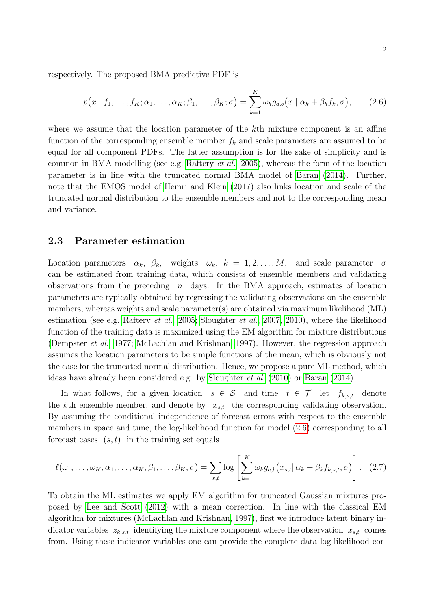respectively. The proposed BMA predictive PDF is

<span id="page-4-0"></span>
$$
p(x | f_1, \ldots, f_K; \alpha_1, \ldots, \alpha_K; \beta_1, \ldots, \beta_K; \sigma) = \sum_{k=1}^K \omega_k g_{a,b}(x | \alpha_k + \beta_k f_k, \sigma), \qquad (2.6)
$$

where we assume that the location parameter of the k<sup>th</sup> mixture component is an affine function of the corresponding ensemble member  $f_k$  and scale parameters are assumed to be equal for all component PDFs. The latter assumption is for the sake of simplicity and is common in BMA modelling (see e.g. [Raftery](#page-17-3) *et al.*, [2005\)](#page-17-3), whereas the form of the location parameter is in line with the truncated normal BMA model of [Baran](#page-15-6) [\(2014\)](#page-15-6). Further, note that the EMOS model of [Hemri and Klein](#page-16-2) [\(2017\)](#page-16-2) also links location and scale of the truncated normal distribution to the ensemble members and not to the corresponding mean and variance.

#### 2.3 Parameter estimation

Location parameters  $\alpha_k$ ,  $\beta_k$ , weights  $\omega_k$ ,  $k = 1, 2, ..., M$ , and scale parameter  $\sigma$ can be estimated from training data, which consists of ensemble members and validating observations from the preceding  $n$  days. In the BMA approach, estimates of location parameters are typically obtained by regressing the validating observations on the ensemble members, whereas weights and scale parameter(s) are obtained via maximum likelihood (ML) estimation (see e.g. [Raftery](#page-17-3) et al., [2005;](#page-17-3) [Sloughter](#page-18-7) et al., [2007,](#page-18-7) [2010\)](#page-18-6), where the likelihood function of the training data is maximized using the EM algorithm for mixture distributions [\(Dempster](#page-15-7) et al., [1977;](#page-15-7) [McLachlan and Krishnan, 1997\)](#page-17-8). However, the regression approach assumes the location parameters to be simple functions of the mean, which is obviously not the case for the truncated normal distribution. Hence, we propose a pure ML method, which ideas have already been considered e.g. by [Sloughter](#page-18-6) et al. [\(2010\)](#page-18-6) or [Baran](#page-15-6) [\(2014\)](#page-15-6).

In what follows, for a given location  $s \in \mathcal{S}$  and time  $t \in \mathcal{T}$  let  $f_{k,s,t}$  denote the kth ensemble member, and denote by  $x_{s,t}$  the corresponding validating observation. By assuming the conditional independence of forecast errors with respect to the ensemble members in space and time, the log-likelihood function for model [\(2.6\)](#page-4-0) corresponding to all forecast cases  $(s, t)$  in the training set equals

<span id="page-4-1"></span>
$$
\ell(\omega_1,\ldots,\omega_K,\alpha_1,\ldots,\alpha_K,\beta_1,\ldots,\beta_K,\sigma) = \sum_{s,t} \log \left[ \sum_{k=1}^K \omega_k g_{a,b}\left(x_{s,t}|\alpha_k + \beta_k f_{k,s,t},\sigma\right) \right].
$$
 (2.7)

To obtain the ML estimates we apply EM algorithm for truncated Gaussian mixtures proposed by [Lee and Scott](#page-17-9) [\(2012\)](#page-17-9) with a mean correction. In line with the classical EM algorithm for mixtures [\(McLachlan and Krishnan, 1997\)](#page-17-8), first we introduce latent binary indicator variables  $z_{k,s,t}$  identifying the mixture component where the observation  $x_{s,t}$  comes from. Using these indicator variables one can provide the complete data log-likelihood cor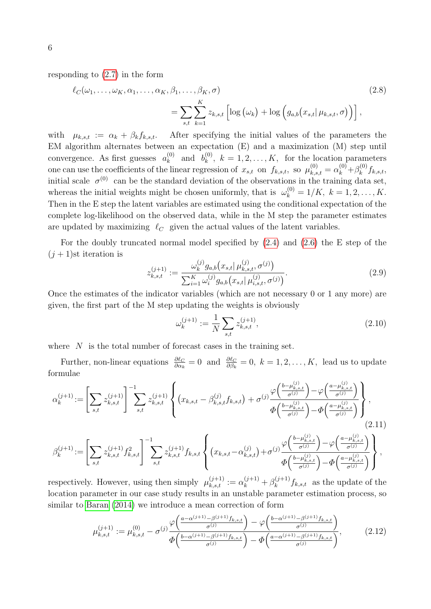responding to [\(2.7\)](#page-4-1) in the form

$$
\ell_C(\omega_1, \ldots, \omega_K, \alpha_1, \ldots, \alpha_K, \beta_1, \ldots, \beta_K, \sigma)
$$
\n
$$
= \sum_{s,t} \sum_{k=1}^K z_{k,s,t} \left[ \log \left( \omega_k \right) + \log \left( g_{a,b}(x_{s,t} | \mu_{k,s,t}, \sigma) \right) \right],
$$
\n(2.8)

with  $\mu_{k,s,t} := \alpha_k + \beta_k f_{k,s,t}$ . After specifying the initial values of the parameters the EM algorithm alternates between an expectation (E) and a maximization (M) step until convergence. As first guesses  $a_k^{(0)}$  $\binom{0}{k}$  and  $b_k^{(0)}$  $k_k^{(0)}$ ,  $k = 1, 2, \ldots, K$ , for the location parameters one can use the coefficients of the linear regression of  $x_{s,t}$  on  $f_{k,s,t}$ , so  $\mu_{k,s,t}^{(0)} = \alpha_k^{(0)} + \beta_k^{(0)}$  $f_k^{(0)}$ f<sub>k,s,t</sub>, initial scale  $\sigma^{(0)}$  can be the standard deviation of the observations in the training data set, whereas the initial weights might be chosen uniformly, that is  $\omega_k^{(0)} = 1/K$ ,  $k = 1, 2, ..., K$ . Then in the E step the latent variables are estimated using the conditional expectation of the complete log-likelihood on the observed data, while in the M step the parameter estimates are updated by maximizing  $\ell_C$  given the actual values of the latent variables.

For the doubly truncated normal model specified by  $(2.4)$  and  $(2.6)$  the E step of the  $(j + 1)$ st iteration is

$$
z_{k,s,t}^{(j+1)} := \frac{\omega_k^{(j)} g_{a,b}(x_{s,t} | \mu_{k,s,t}^{(j)}, \sigma^{(j)})}{\sum_{i=1}^K \omega_i^{(j)} g_{a,b}(x_{s,t} | \mu_{i,s,t}^{(j)}, \sigma^{(j)})}.
$$
(2.9)

Once the estimates of the indicator variables (which are not necessary 0 or 1 any more) are given, the first part of the M step updating the weights is obviously

<span id="page-5-0"></span>
$$
\omega_k^{(j+1)} := \frac{1}{N} \sum_{s,t} z_{k,s,t}^{(j+1)},\tag{2.10}
$$

where  $N$  is the total number of forecast cases in the training set.

Further, non-linear equations  $\frac{\partial \ell_C}{\partial \alpha_k} = 0$  and  $\frac{\partial \ell_C}{\partial \beta_k} = 0$ ,  $k = 1, 2, ..., K$ , lead us to update formulae

$$
\alpha_k^{(j+1)} := \left[ \sum_{s,t} z_{k,s,t}^{(j+1)} \right]^{-1} \sum_{s,t} z_{k,s,t}^{(j+1)} \left\{ (x_{k,s,t} - \beta_{k,s,t}^{(j)} f_{k,s,t}) + \sigma^{(j)} \frac{\varphi\left(\frac{b - \mu_{k,s,t}^{(j)}}{\sigma^{(j)}}\right) - \varphi\left(\frac{a - \mu_{k,s,t}^{(j)}}{\sigma^{(j)}}\right)}{\Phi\left(\frac{b - \mu_{k,s,t}^{(j)}}{\sigma^{(j)}}\right) - \Phi\left(\frac{a - \mu_{k,s,t}^{(j)}}{\sigma^{(j)}}\right)} \right\},\tag{2.11}
$$

$$
\beta_k^{(j+1)} := \left[ \sum_{s,t} z_{k,s,t}^{(j+1)} f_{k,s,t}^2 \right]^{-1} \sum_{s,t} z_{k,s,t}^{(j+1)} f_{k,s,t} \left\{ (x_{k,s,t} - \alpha_{k,s,t}^{(j)}) + \sigma^{(j)} \frac{\varphi\left(\frac{b - \mu_{k,s,t}^{(j)}}{\sigma^{(j)}}\right) - \varphi\left(\frac{a - \mu_{k,s,t}^{(j)}}{\sigma^{(j)}}\right)}{\Phi\left(\frac{b - \mu_{k,s,t}^{(j)}}{\sigma^{(j)}}\right) - \Phi\left(\frac{a - \mu_{k,s,t}^{(j)}}{\sigma^{(j)}}\right)} \right\},
$$

respectively. However, using then simply  $\mu_{k,s,t}^{(j+1)} := \alpha_k^{(j+1)} + \beta_k^{(j+1)}$  $f_k^{(j+1)} f_{k,s,t}$  as the update of the location parameter in our case study results in an unstable parameter estimation process, so similar to [Baran](#page-15-6) [\(2014\)](#page-15-6) we introduce a mean correction of form

<span id="page-5-1"></span>
$$
\mu_{k,s,t}^{(j+1)} := \mu_{k,s,t}^{(0)} - \sigma^{(j)} \frac{\varphi\left(\frac{a - \alpha^{(j+1)} - \beta^{(j+1)}f_{k,s,t}}{\sigma^{(j)}}\right) - \varphi\left(\frac{b - \alpha^{(j+1)} - \beta^{(j+1)}f_{k,s,t}}{\sigma^{(j)}}\right)}{\Phi\left(\frac{b - \alpha^{(j+1)} - \beta^{(j+1)}f_{k,s,t}}{\sigma^{(j)}}\right) - \Phi\left(\frac{a - \alpha^{(j+1)} - \beta^{(j+1)}f_{k,s,t}}{\sigma^{(j)}}\right)},
$$
(2.12)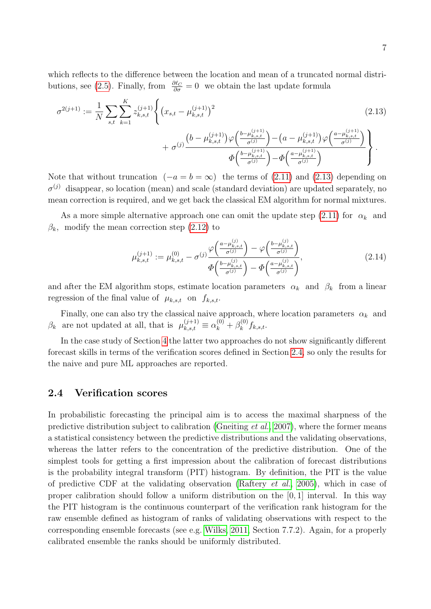which reflects to the difference between the location and mean of a truncated normal distri-butions, see [\(2.5\)](#page-3-2). Finally, from  $\frac{\partial \ell_C}{\partial \sigma} = 0$  we obtain the last update formula

$$
\sigma^{2(j+1)} := \frac{1}{N} \sum_{s,t} \sum_{k=1}^{K} z_{k,s,t}^{(j+1)} \left\{ (x_{s,t} - \mu_{k,s,t}^{(j+1)})^2 + \sigma^{(j)} \frac{\left(b - \mu_{k,s,t}^{(j+1)}\right) \varphi\left(\frac{b - \mu_{k,s,t}^{(j+1)}}{\sigma^{(j)}}\right) - \left(a - \mu_{k,s,t}^{(j+1)}\right) \varphi\left(\frac{a - \mu_{k,s,t}^{(j+1)}}{\sigma^{(j)}}\right)}{\Phi\left(\frac{b - \mu_{k,s,t}^{(j+1)}}{\sigma^{(j)}}\right) - \Phi\left(\frac{a - \mu_{k,s,t}^{(j+1)}}{\sigma^{(j)}}\right)} \right\}.
$$
\n(2.13)

Note that without truncation  $(-a = b = \infty)$  the terms of [\(2.11\)](#page-5-0) and [\(2.13\)](#page-6-0) depending on  $\sigma^{(j)}$  disappear, so location (mean) and scale (standard deviation) are updated separately, no mean correction is required, and we get back the classical EM algorithm for normal mixtures.

As a more simple alternative approach one can omit the update step [\(2.11\)](#page-5-0) for  $\alpha_k$  and  $\beta_k$ , modify the mean correction step [\(2.12\)](#page-5-1) to

<span id="page-6-0"></span>
$$
\mu_{k,s,t}^{(j+1)} := \mu_{k,s,t}^{(0)} - \sigma^{(j)} \frac{\varphi\left(\frac{a - \mu_{k,s,t}^{(j)}}{\sigma^{(j)}}\right) - \varphi\left(\frac{b - \mu_{k,s,t}^{(j)}}{\sigma^{(j)}}\right)}{\Phi\left(\frac{b - \mu_{k,s,t}^{(j)}}{\sigma^{(j)}}\right) - \Phi\left(\frac{a - \mu_{k,s,t}^{(j)}}{\sigma^{(j)}}\right)},\tag{2.14}
$$

and after the EM algorithm stops, estimate location parameters  $\alpha_k$  and  $\beta_k$  from a linear regression of the final value of  $\mu_{k,s,t}$  on  $f_{k,s,t}$ .

Finally, one can also try the classical naive approach, where location parameters  $\alpha_k$  and  $\beta_k$  are not updated at all, that is  $\mu_{k,s,t}^{(j+1)} \equiv \alpha_k^{(0)} + \beta_k^{(0)}$  $f_k^{(0)}$ f<sub>k,s,t</sub>.

In the case study of Section [4](#page-9-0) the latter two approaches do not show significantly different forecast skills in terms of the verification scores defined in Section [2.4,](#page-6-1) so only the results for the naive and pure ML approaches are reported.

#### <span id="page-6-1"></span>2.4 Verification scores

In probabilistic forecasting the principal aim is to access the maximal sharpness of the predictive distribution subject to calibration [\(Gneiting](#page-16-8) et al., [2007\)](#page-16-8), where the former means a statistical consistency between the predictive distributions and the validating observations, whereas the latter refers to the concentration of the predictive distribution. One of the simplest tools for getting a first impression about the calibration of forecast distributions is the probability integral transform (PIT) histogram. By definition, the PIT is the value of predictive CDF at the validating observation [\(Raftery](#page-17-3) et al., [2005\)](#page-17-3), which in case of proper calibration should follow a uniform distribution on the [0, 1] interval. In this way the PIT histogram is the continuous counterpart of the verification rank histogram for the raw ensemble defined as histogram of ranks of validating observations with respect to the corresponding ensemble forecasts (see e.g. [Wilks, 2011,](#page-18-8) Section 7.7.2). Again, for a properly calibrated ensemble the ranks should be uniformly distributed.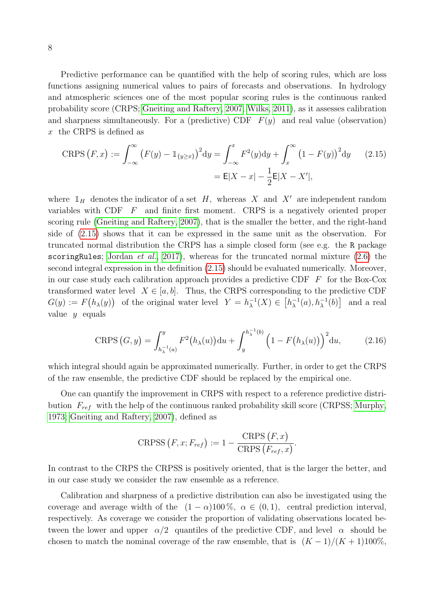Predictive performance can be quantified with the help of scoring rules, which are loss functions assigning numerical values to pairs of forecasts and observations. In hydrology and atmospheric sciences one of the most popular scoring rules is the continuous ranked probability score (CRPS; [Gneiting and Raftery, 2007;](#page-16-9) [Wilks, 2011\)](#page-18-8), as it assesses calibration and sharpness simultaneously. For a (predictive) CDF  $F(y)$  and real value (observation) x the CRPS is defined as

<span id="page-7-0"></span>CRPS 
$$
(F, x) := \int_{-\infty}^{\infty} (F(y) - 1_{\{y \ge x\}})^2 dy = \int_{-\infty}^{x} F^2(y) dy + \int_{x}^{\infty} (1 - F(y))^2 dy
$$
 (2.15)  

$$
= \mathsf{E}|X - x| - \frac{1}{2} \mathsf{E}|X - X'|,
$$

where  $\mathbb{1}_H$  denotes the indicator of a set H, whereas X and X' are independent random variables with CDF  $F$  and finite first moment. CRPS is a negatively oriented proper scoring rule [\(Gneiting and Raftery, 2007\)](#page-16-9), that is the smaller the better, and the right-hand side of [\(2.15\)](#page-7-0) shows that it can be expressed in the same unit as the observation. For truncated normal distribution the CRPS has a simple closed form (see e.g. the R package scoring Rules; [Jordan](#page-16-10) *et al.*, [2017\)](#page-16-10), whereas for the truncated normal mixture  $(2.6)$  the second integral expression in the definition [\(2.15\)](#page-7-0) should be evaluated numerically. Moreover, in our case study each calibration approach provides a predictive CDF  $\overline{F}$  for the Box-Cox transformed water level  $X \in [a, b]$ . Thus, the CRPS corresponding to the predictive CDF  $G(y) := F(h_{\lambda}(y))$  of the original water level  $Y = h_{\lambda}^{-1}$  $_{\lambda}^{-1}(X) \in [h_{\lambda}^{-1}]$  $\lambda^{-1}(a), h_{\lambda}^{-1}(b)$  and a real value  $y$  equals

<span id="page-7-1"></span>CRPS 
$$
(G, y) = \int_{h_{\lambda}^{-1}(a)}^{y} F^2(h_{\lambda}(u)) du + \int_{y}^{h_{\lambda}^{-1}(b)} \left(1 - F(h_{\lambda}(u))\right)^2 du,
$$
 (2.16)

which integral should again be approximated numerically. Further, in order to get the CRPS of the raw ensemble, the predictive CDF should be replaced by the empirical one.

One can quantify the improvement in CRPS with respect to a reference predictive distribution  $F_{ref}$  with the help of the continuous ranked probability skill score (CRPSS; [Murphy,](#page-17-10) [1973;](#page-17-10) [Gneiting and Raftery, 2007\)](#page-16-9), defined as

$$
CRPSS (F, x; F_{ref}) := 1 - \frac{CRPS (F, x)}{CRPS (F_{ref}, x)}.
$$

In contrast to the CRPS the CRPSS is positively oriented, that is the larger the better, and in our case study we consider the raw ensemble as a reference.

Calibration and sharpness of a predictive distribution can also be investigated using the coverage and average width of the  $(1 - \alpha)100\%$ ,  $\alpha \in (0, 1)$ , central prediction interval, respectively. As coverage we consider the proportion of validating observations located between the lower and upper  $\alpha/2$  quantiles of the predictive CDF, and level  $\alpha$  should be chosen to match the nominal coverage of the raw ensemble, that is  $(K-1)/(K+1)100\%$ ,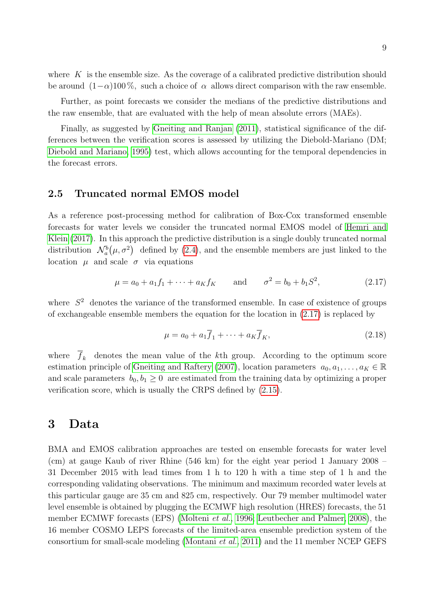where  $K$  is the ensemble size. As the coverage of a calibrated predictive distribution should be around  $(1-\alpha)100\%$ , such a choice of  $\alpha$  allows direct comparison with the raw ensemble.

Further, as point forecasts we consider the medians of the predictive distributions and the raw ensemble, that are evaluated with the help of mean absolute errors (MAEs).

Finally, as suggested by [Gneiting and Ranjan](#page-16-11) [\(2011\)](#page-16-11), statistical significance of the differences between the verification scores is assessed by utilizing the Diebold-Mariano (DM; [Diebold and Mariano, 1995\)](#page-16-12) test, which allows accounting for the temporal dependencies in the forecast errors.

#### <span id="page-8-2"></span>2.5 Truncated normal EMOS model

As a reference post-processing method for calibration of Box-Cox transformed ensemble forecasts for water levels we consider the truncated normal EMOS model of [Hemri and](#page-16-2) [Klein](#page-16-2) [\(2017\)](#page-16-2). In this approach the predictive distribution is a single doubly truncated normal distribution  $\mathcal{N}_a^b(\mu, \sigma^2)$  defined by [\(2.4\)](#page-3-1), and the ensemble members are just linked to the location  $\mu$  and scale  $\sigma$  via equations

<span id="page-8-1"></span>
$$
\mu = a_0 + a_1 f_1 + \dots + a_K f_K
$$
 and  $\sigma^2 = b_0 + b_1 S^2$ , (2.17)

where  $S<sup>2</sup>$  denotes the variance of the transformed ensemble. In case of existence of groups of exchangeable ensemble members the equation for the location in [\(2.17\)](#page-8-1) is replaced by

<span id="page-8-3"></span>
$$
\mu = a_0 + a_1 \overline{f}_1 + \dots + a_K \overline{f}_K,\tag{2.18}
$$

where  $f_k$  denotes the mean value of the kth group. According to the optimum score estimation principle of [Gneiting and Raftery](#page-16-9) [\(2007\)](#page-16-9), location parameters  $a_0, a_1, \ldots, a_K \in \mathbb{R}$ and scale parameters  $b_0, b_1 \geq 0$  are estimated from the training data by optimizing a proper verification score, which is usually the CRPS defined by [\(2.15\)](#page-7-0).

### <span id="page-8-0"></span>3 Data

BMA and EMOS calibration approaches are tested on ensemble forecasts for water level (cm) at gauge Kaub of river Rhine (546 km) for the eight year period 1 January 2008 – 31 December 2015 with lead times from 1 h to 120 h with a time step of 1 h and the corresponding validating observations. The minimum and maximum recorded water levels at this particular gauge are 35 cm and 825 cm, respectively. Our 79 member multimodel water level ensemble is obtained by plugging the ECMWF high resolution (HRES) forecasts, the 51 member ECMWF forecasts (EPS) [\(Molteni](#page-17-6) et al., [1996;](#page-17-6) [Leutbecher and Palmer, 2008\)](#page-17-7), the 16 member COSMO LEPS forecasts of the limited-area ensemble prediction system of the consortium for small-scale modeling [\(Montani](#page-17-11) et al., [2011\)](#page-17-11) and the 11 member NCEP GEFS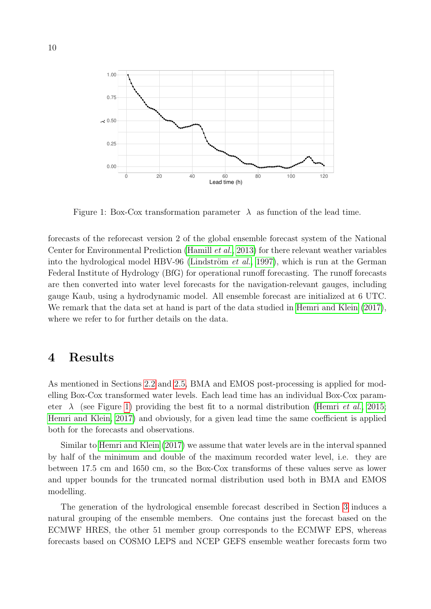

<span id="page-9-1"></span>Figure 1: Box-Cox transformation parameter  $\lambda$  as function of the lead time.

forecasts of the reforecast version 2 of the global ensemble forecast system of the National Center for Environmental Prediction [\(Hamill](#page-16-13) et al., [2013\)](#page-16-13) for there relevant weather variables into the hydrological model HBV-96 (Lindström *et al.*, [1997\)](#page-17-12), which is run at the German Federal Institute of Hydrology (BfG) for operational runoff forecasting. The runoff forecasts are then converted into water level forecasts for the navigation-relevant gauges, including gauge Kaub, using a hydrodynamic model. All ensemble forecast are initialized at 6 UTC. We remark that the data set at hand is part of the data studied in [Hemri and Klein](#page-16-2)  $(2017)$ , where we refer to for further details on the data.

# <span id="page-9-0"></span>4 Results

As mentioned in Sections [2.2](#page-3-3) and [2.5,](#page-8-2) BMA and EMOS post-processing is applied for modelling Box-Cox transformed water levels. Each lead time has an individual Box-Cox parameter  $\lambda$  (see Figure [1\)](#page-9-1) providing the best fit to a normal distribution [\(Hemri](#page-16-1) *et al.*, [2015;](#page-16-1) [Hemri and Klein, 2017\)](#page-16-2) and obviously, for a given lead time the same coefficient is applied both for the forecasts and observations.

Similar to [Hemri and Klein](#page-16-2) [\(2017\)](#page-16-2) we assume that water levels are in the interval spanned by half of the minimum and double of the maximum recorded water level, i.e. they are between 17.5 cm and 1650 cm, so the Box-Cox transforms of these values serve as lower and upper bounds for the truncated normal distribution used both in BMA and EMOS modelling.

The generation of the hydrological ensemble forecast described in Section [3](#page-8-0) induces a natural grouping of the ensemble members. One contains just the forecast based on the ECMWF HRES, the other 51 member group corresponds to the ECMWF EPS, whereas forecasts based on COSMO LEPS and NCEP GEFS ensemble weather forecasts form two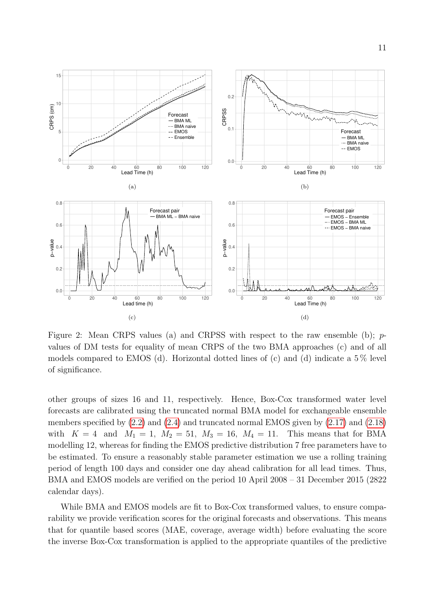

<span id="page-10-0"></span>Figure 2: Mean CRPS values (a) and CRPSS with respect to the raw ensemble (b); pvalues of DM tests for equality of mean CRPS of the two BMA approaches (c) and of all models compared to EMOS (d). Horizontal dotted lines of (c) and (d) indicate a  $5\%$  level of significance.

other groups of sizes 16 and 11, respectively. Hence, Box-Cox transformed water level forecasts are calibrated using the truncated normal BMA model for exchangeable ensemble members specified by [\(2.2\)](#page-3-0) and [\(2.4\)](#page-3-1) and truncated normal EMOS given by [\(2.17\)](#page-8-1) and [\(2.18\)](#page-8-3) with  $K = 4$  and  $M_1 = 1$ ,  $M_2 = 51$ ,  $M_3 = 16$ ,  $M_4 = 11$ . This means that for BMA modelling 12, whereas for finding the EMOS predictive distribution 7 free parameters have to be estimated. To ensure a reasonably stable parameter estimation we use a rolling training period of length 100 days and consider one day ahead calibration for all lead times. Thus, BMA and EMOS models are verified on the period 10 April 2008 – 31 December 2015 (2822 calendar days).

While BMA and EMOS models are fit to Box-Cox transformed values, to ensure comparability we provide verification scores for the original forecasts and observations. This means that for quantile based scores (MAE, coverage, average width) before evaluating the score the inverse Box-Cox transformation is applied to the appropriate quantiles of the predictive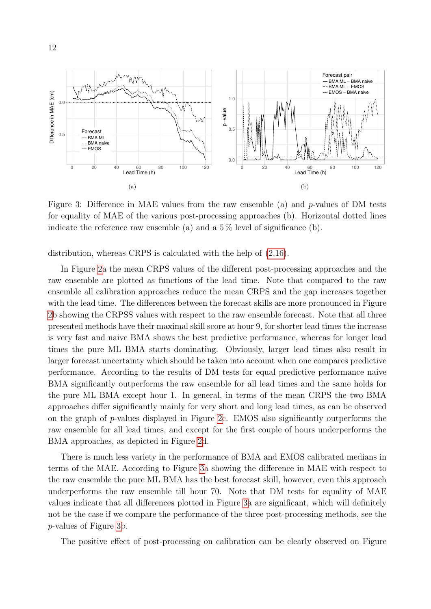

<span id="page-11-0"></span>Figure 3: Difference in MAE values from the raw ensemble (a) and p-values of DM tests for equality of MAE of the various post-processing approaches (b). Horizontal dotted lines indicate the reference raw ensemble (a) and a  $5\%$  level of significance (b).

distribution, whereas CRPS is calculated with the help of [\(2.16\)](#page-7-1).

In Figure [2a](#page-10-0) the mean CRPS values of the different post-processing approaches and the raw ensemble are plotted as functions of the lead time. Note that compared to the raw ensemble all calibration approaches reduce the mean CRPS and the gap increases together with the lead time. The differences between the forecast skills are more pronounced in Figure [2b](#page-10-0) showing the CRPSS values with respect to the raw ensemble forecast. Note that all three presented methods have their maximal skill score at hour 9, for shorter lead times the increase is very fast and naive BMA shows the best predictive performance, whereas for longer lead times the pure ML BMA starts dominating. Obviously, larger lead times also result in larger forecast uncertainty which should be taken into account when one compares predictive performance. According to the results of DM tests for equal predictive performance naive BMA significantly outperforms the raw ensemble for all lead times and the same holds for the pure ML BMA except hour 1. In general, in terms of the mean CRPS the two BMA approaches differ significantly mainly for very short and long lead times, as can be observed on the graph of p-values displayed in Figure [2c](#page-10-0). EMOS also significantly outperforms the raw ensemble for all lead times, and except for the first couple of hours underperforms the BMA approaches, as depicted in Figure [2d](#page-10-0).

There is much less variety in the performance of BMA and EMOS calibrated medians in terms of the MAE. According to Figure [3a](#page-11-0) showing the difference in MAE with respect to the raw ensemble the pure ML BMA has the best forecast skill, however, even this approach underperforms the raw ensemble till hour 70. Note that DM tests for equality of MAE values indicate that all differences plotted in Figure [3a](#page-11-0) are significant, which will definitely not be the case if we compare the performance of the three post-processing methods, see the p-values of Figure [3b](#page-11-0).

The positive effect of post-processing on calibration can be clearly observed on Figure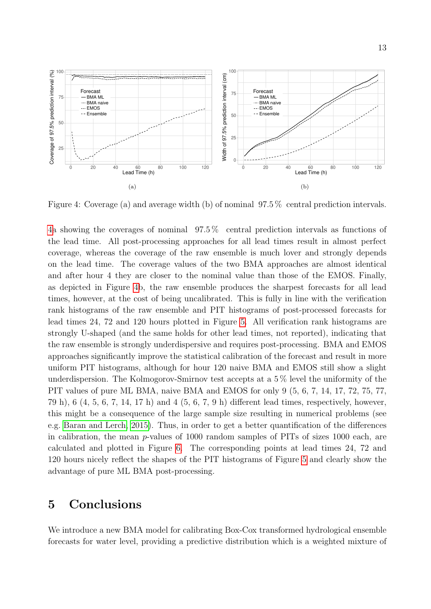

<span id="page-12-1"></span>Figure 4: Coverage (a) and average width (b) of nominal 97.5 % central prediction intervals.

[4a](#page-12-1) showing the coverages of nominal 97.5 % central prediction intervals as functions of the lead time. All post-processing approaches for all lead times result in almost perfect coverage, whereas the coverage of the raw ensemble is much lover and strongly depends on the lead time. The coverage values of the two BMA approaches are almost identical and after hour 4 they are closer to the nominal value than those of the EMOS. Finally, as depicted in Figure [4b](#page-12-1), the raw ensemble produces the sharpest forecasts for all lead times, however, at the cost of being uncalibrated. This is fully in line with the verification rank histograms of the raw ensemble and PIT histograms of post-processed forecasts for lead times 24, 72 and 120 hours plotted in Figure [5.](#page-13-0) All verification rank histograms are strongly U-shaped (and the same holds for other lead times, not reported), indicating that the raw ensemble is strongly underdispersive and requires post-processing. BMA and EMOS approaches significantly improve the statistical calibration of the forecast and result in more uniform PIT histograms, although for hour 120 naive BMA and EMOS still show a slight underdispersion. The Kolmogorov-Smirnov test accepts at a 5 % level the uniformity of the PIT values of pure ML BMA, naive BMA and EMOS for only 9 (5, 6, 7, 14, 17, 72, 75, 77, 79 h), 6 (4, 5, 6, 7, 14, 17 h) and 4 (5, 6, 7, 9 h) different lead times, respectively, however, this might be a consequence of the large sample size resulting in numerical problems (see e.g. [Baran and Lerch, 2015\)](#page-15-4). Thus, in order to get a better quantification of the differences in calibration, the mean p-values of 1000 random samples of PITs of sizes 1000 each, are calculated and plotted in Figure [6.](#page-14-0) The corresponding points at lead times 24, 72 and 120 hours nicely reflect the shapes of the PIT histograms of Figure [5](#page-13-0) and clearly show the advantage of pure ML BMA post-processing.

### <span id="page-12-0"></span>5 Conclusions

We introduce a new BMA model for calibrating Box-Cox transformed hydrological ensemble forecasts for water level, providing a predictive distribution which is a weighted mixture of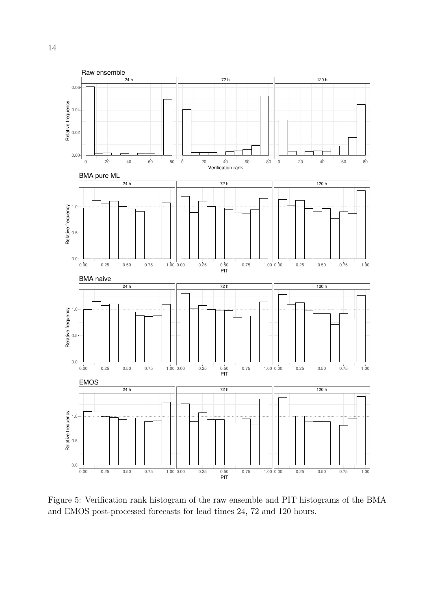

<span id="page-13-0"></span>Figure 5: Verification rank histogram of the raw ensemble and PIT histograms of the BMA and EMOS post-processed forecasts for lead times 24, 72 and 120 hours.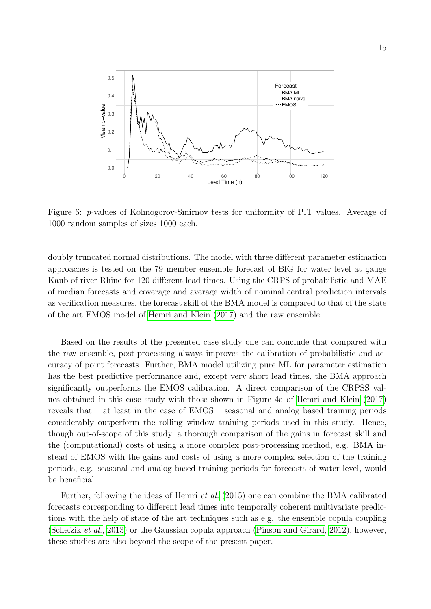

<span id="page-14-0"></span>Figure 6: p-values of Kolmogorov-Smirnov tests for uniformity of PIT values. Average of 1000 random samples of sizes 1000 each.

doubly truncated normal distributions. The model with three different parameter estimation approaches is tested on the 79 member ensemble forecast of BfG for water level at gauge Kaub of river Rhine for 120 different lead times. Using the CRPS of probabilistic and MAE of median forecasts and coverage and average width of nominal central prediction intervals as verification measures, the forecast skill of the BMA model is compared to that of the state of the art EMOS model of [Hemri and Klein](#page-16-2) [\(2017\)](#page-16-2) and the raw ensemble.

Based on the results of the presented case study one can conclude that compared with the raw ensemble, post-processing always improves the calibration of probabilistic and accuracy of point forecasts. Further, BMA model utilizing pure ML for parameter estimation has the best predictive performance and, except very short lead times, the BMA approach significantly outperforms the EMOS calibration. A direct comparison of the CRPSS values obtained in this case study with those shown in Figure 4a of [Hemri and Klein](#page-16-2) [\(2017\)](#page-16-2) reveals that – at least in the case of EMOS – seasonal and analog based training periods considerably outperform the rolling window training periods used in this study. Hence, though out-of-scope of this study, a thorough comparison of the gains in forecast skill and the (computational) costs of using a more complex post-processing method, e.g. BMA instead of EMOS with the gains and costs of using a more complex selection of the training periods, e.g. seasonal and analog based training periods for forecasts of water level, would be beneficial.

Further, following the ideas of [Hemri](#page-16-1) et al. [\(2015\)](#page-16-1) one can combine the BMA calibrated forecasts corresponding to different lead times into temporally coherent multivariate predictions with the help of state of the art techniques such as e.g. the ensemble copula coupling [\(Schefzik](#page-17-13) et al., [2013\)](#page-17-13) or the Gaussian copula approach [\(Pinson and Girard, 2012\)](#page-17-14), however, these studies are also beyond the scope of the present paper.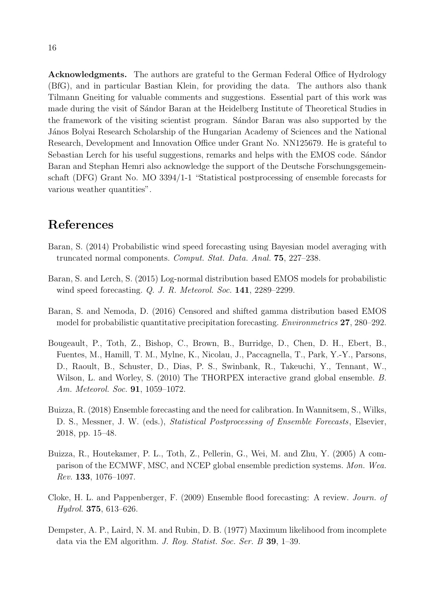Acknowledgments. The authors are grateful to the German Federal Office of Hydrology (BfG), and in particular Bastian Klein, for providing the data. The authors also thank Tilmann Gneiting for valuable comments and suggestions. Essential part of this work was made during the visit of Sandor Baran at the Heidelberg Institute of Theoretical Studies in the framework of the visiting scientist program. Sandor Baran was also supported by the János Bolyai Research Scholarship of the Hungarian Academy of Sciences and the National Research, Development and Innovation Office under Grant No. NN125679. He is grateful to Sebastian Lerch for his useful suggestions, remarks and helps with the EMOS code. Sándor Baran and Stephan Hemri also acknowledge the support of the Deutsche Forschungsgemeinschaft (DFG) Grant No. MO 3394/1-1 "Statistical postprocessing of ensemble forecasts for various weather quantities".

# References

- <span id="page-15-6"></span>Baran, S. (2014) Probabilistic wind speed forecasting using Bayesian model averaging with truncated normal components. Comput. Stat. Data. Anal. 75, 227–238.
- <span id="page-15-4"></span>Baran, S. and Lerch, S. (2015) Log-normal distribution based EMOS models for probabilistic wind speed forecasting. Q. J. R. Meteorol. Soc. 141, 2289–2299.
- <span id="page-15-5"></span>Baran, S. and Nemoda, D. (2016) Censored and shifted gamma distribution based EMOS model for probabilistic quantitative precipitation forecasting. Environmetrics 27, 280–292.
- <span id="page-15-2"></span>Bougeault, P., Toth, Z., Bishop, C., Brown, B., Burridge, D., Chen, D. H., Ebert, B., Fuentes, M., Hamill, T. M., Mylne, K., Nicolau, J., Paccagnella, T., Park, Y.-Y., Parsons, D., Raoult, B., Schuster, D., Dias, P. S., Swinbank, R., Takeuchi, Y., Tennant, W., Wilson, L. and Worley, S. (2010) The THORPEX interactive grand global ensemble. B. Am. Meteorol. Soc. 91, 1059–1072.
- <span id="page-15-3"></span>Buizza, R. (2018) Ensemble forecasting and the need for calibration. In Wannitsem, S., Wilks, D. S., Messner, J. W. (eds.), *Statistical Postprocessing of Ensemble Forecasts*, Elsevier, 2018, pp. 15–48.
- <span id="page-15-1"></span>Buizza, R., Houtekamer, P. L., Toth, Z., Pellerin, G., Wei, M. and Zhu, Y. (2005) A comparison of the ECMWF, MSC, and NCEP global ensemble prediction systems. Mon. Wea. Rev. 133, 1076–1097.
- <span id="page-15-0"></span>Cloke, H. L. and Pappenberger, F. (2009) Ensemble flood forecasting: A review. Journ. of Hydrol. 375, 613–626.
- <span id="page-15-7"></span>Dempster, A. P., Laird, N. M. and Rubin, D. B. (1977) Maximum likelihood from incomplete data via the EM algorithm. J. Roy. Statist. Soc. Ser. B 39, 1–39.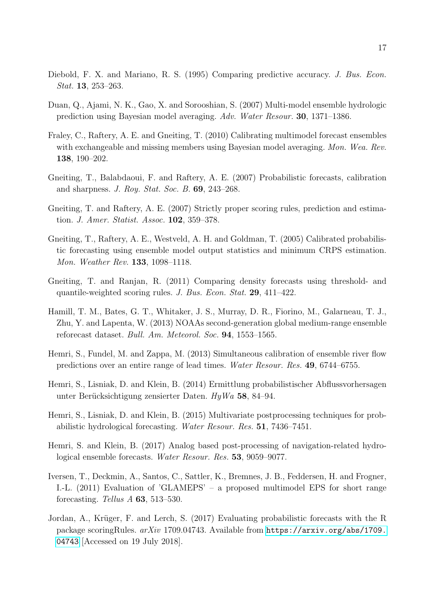- <span id="page-16-12"></span>Diebold, F. X. and Mariano, R. S. (1995) Comparing predictive accuracy. J. Bus. Econ. Stat. 13, 253–263.
- <span id="page-16-3"></span>Duan, Q., Ajami, N. K., Gao, X. and Sorooshian, S. (2007) Multi-model ensemble hydrologic prediction using Bayesian model averaging. Adv. Water Resour. 30, 1371–1386.
- <span id="page-16-6"></span>Fraley, C., Raftery, A. E. and Gneiting, T. (2010) Calibrating multimodel forecast ensembles with exchangeable and missing members using Bayesian model averaging. Mon. Wea. Rev. 138, 190–202.
- <span id="page-16-8"></span>Gneiting, T., Balabdaoui, F. and Raftery, A. E. (2007) Probabilistic forecasts, calibration and sharpness. J. Roy. Stat. Soc. B. 69, 243–268.
- <span id="page-16-9"></span>Gneiting, T. and Raftery, A. E. (2007) Strictly proper scoring rules, prediction and estimation. J. Amer. Statist. Assoc. 102, 359–378.
- <span id="page-16-0"></span>Gneiting, T., Raftery, A. E., Westveld, A. H. and Goldman, T. (2005) Calibrated probabilistic forecasting using ensemble model output statistics and minimum CRPS estimation. Mon. Weather Rev. 133, 1098–1118.
- <span id="page-16-11"></span>Gneiting, T. and Ranjan, R. (2011) Comparing density forecasts using threshold- and quantile-weighted scoring rules. J. Bus. Econ. Stat. 29, 411–422.
- <span id="page-16-13"></span>Hamill, T. M., Bates, G. T., Whitaker, J. S., Murray, D. R., Fiorino, M., Galarneau, T. J., Zhu, Y. and Lapenta, W. (2013) NOAAs second-generation global medium-range ensemble reforecast dataset. Bull. Am. Meteorol. Soc. 94, 1553–1565.
- <span id="page-16-4"></span>Hemri, S., Fundel, M. and Zappa, M. (2013) Simultaneous calibration of ensemble river flow predictions over an entire range of lead times. Water Resour. Res. 49, 6744–6755.
- <span id="page-16-7"></span>Hemri, S., Lisniak, D. and Klein, B. (2014) Ermittlung probabilistischer Abflussvorhersagen unter Berücksichtigung zensierter Daten.  $HyWa$  58, 84–94.
- <span id="page-16-1"></span>Hemri, S., Lisniak, D. and Klein, B. (2015) Multivariate postprocessing techniques for probabilistic hydrological forecasting. Water Resour. Res. 51, 7436–7451.
- <span id="page-16-2"></span>Hemri, S. and Klein, B. (2017) Analog based post-processing of navigation-related hydrological ensemble forecasts. Water Resour. Res. 53, 9059–9077.
- <span id="page-16-5"></span>Iversen, T., Deckmin, A., Santos, C., Sattler, K., Bremnes, J. B., Feddersen, H. and Frogner, I.-L. (2011) Evaluation of 'GLAMEPS' – a proposed multimodel EPS for short range forecasting. Tellus A 63, 513–530.
- <span id="page-16-10"></span>Jordan, A., Krüger, F. and Lerch, S. (2017) Evaluating probabilistic forecasts with the R package scoringRules.  $arXiv$  1709.04743. Available from [https://arxiv.org/abs/1709.](https://arxiv.org/abs/1709.04743) [04743](https://arxiv.org/abs/1709.04743) [Accessed on 19 July 2018].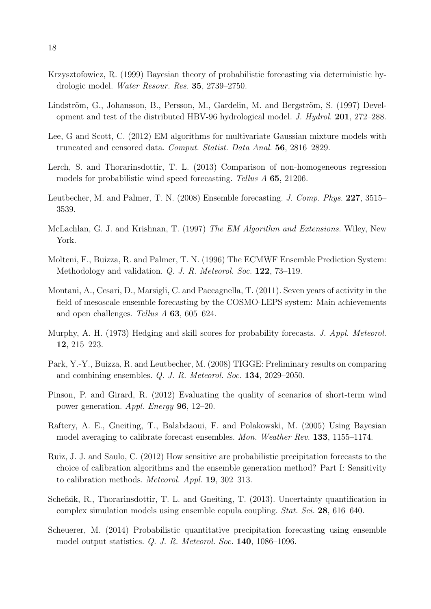- <span id="page-17-0"></span>Krzysztofowicz, R. (1999) Bayesian theory of probabilistic forecasting via deterministic hydrologic model. Water Resour. Res. 35, 2739–2750.
- <span id="page-17-12"></span>Lindström, G., Johansson, B., Persson, M., Gardelin, M. and Bergström, S. (1997) Development and test of the distributed HBV-96 hydrological model. J. Hydrol. 201, 272–288.
- <span id="page-17-9"></span>Lee, G and Scott, C. (2012) EM algorithms for multivariate Gaussian mixture models with truncated and censored data. Comput. Statist. Data Anal. 56, 2816–2829.
- <span id="page-17-4"></span>Lerch, S. and Thorarinsdottir, T. L. (2013) Comparison of non-homogeneous regression models for probabilistic wind speed forecasting. Tellus A 65, 21206.
- <span id="page-17-7"></span>Leutbecher, M. and Palmer, T. N. (2008) Ensemble forecasting. J. Comp. Phys. 227, 3515– 3539.
- <span id="page-17-8"></span>McLachlan, G. J. and Krishnan, T. (1997) The EM Algorithm and Extensions. Wiley, New York.
- <span id="page-17-6"></span>Molteni, F., Buizza, R. and Palmer, T. N. (1996) The ECMWF Ensemble Prediction System: Methodology and validation. Q. J. R. Meteorol. Soc. 122, 73–119.
- <span id="page-17-11"></span>Montani, A., Cesari, D., Marsigli, C. and Paccagnella, T. (2011). Seven years of activity in the field of mesoscale ensemble forecasting by the COSMO-LEPS system: Main achievements and open challenges. Tellus A 63, 605–624.
- <span id="page-17-10"></span>Murphy, A. H. (1973) Hedging and skill scores for probability forecasts. J. Appl. Meteorol. 12, 215–223.
- <span id="page-17-1"></span>Park, Y.-Y., Buizza, R. and Leutbecher, M. (2008) TIGGE: Preliminary results on comparing and combining ensembles. Q. J. R. Meteorol. Soc. 134, 2029–2050.
- <span id="page-17-14"></span>Pinson, P. and Girard, R. (2012) Evaluating the quality of scenarios of short-term wind power generation. Appl. Energy 96, 12–20.
- <span id="page-17-3"></span>Raftery, A. E., Gneiting, T., Balabdaoui, F. and Polakowski, M. (2005) Using Bayesian model averaging to calibrate forecast ensembles. Mon. Weather Rev. 133, 1155–1174.
- <span id="page-17-2"></span>Ruiz, J. J. and Saulo, C. (2012) How sensitive are probabilistic precipitation forecasts to the choice of calibration algorithms and the ensemble generation method? Part I: Sensitivity to calibration methods. Meteorol. Appl. 19, 302–313.
- <span id="page-17-13"></span>Schefzik, R., Thorarinsdottir, T. L. and Gneiting, T. (2013). Uncertainty quantification in complex simulation models using ensemble copula coupling. Stat. Sci. 28, 616–640.
- <span id="page-17-5"></span>Scheuerer, M. (2014) Probabilistic quantitative precipitation forecasting using ensemble model output statistics. Q. J. R. Meteorol. Soc. 140, 1086–1096.